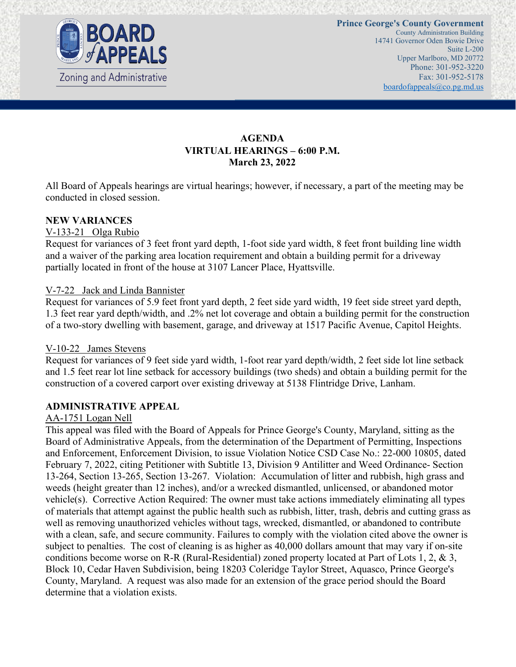

# **AGENDA VIRTUAL HEARINGS – 6:00 P.M. March 23, 2022**

All Board of Appeals hearings are virtual hearings; however, if necessary, a part of the meeting may be conducted in closed session.

#### **NEW VARIANCES**

#### V-133-21 Olga Rubio

Request for variances of 3 feet front yard depth, 1-foot side yard width, 8 feet front building line width and a waiver of the parking area location requirement and obtain a building permit for a driveway partially located in front of the house at 3107 Lancer Place, Hyattsville.

#### V-7-22 Jack and Linda Bannister

Request for variances of 5.9 feet front yard depth, 2 feet side yard width, 19 feet side street yard depth, 1.3 feet rear yard depth/width, and .2% net lot coverage and obtain a building permit for the construction of a two-story dwelling with basement, garage, and driveway at 1517 Pacific Avenue, Capitol Heights.

#### V-10-22 James Stevens

Request for variances of 9 feet side yard width, 1-foot rear yard depth/width, 2 feet side lot line setback and 1.5 feet rear lot line setback for accessory buildings (two sheds) and obtain a building permit for the construction of a covered carport over existing driveway at 5138 Flintridge Drive, Lanham.

#### **ADMINISTRATIVE APPEAL**

#### AA-1751 Logan Nell

This appeal was filed with the Board of Appeals for Prince George's County, Maryland, sitting as the Board of Administrative Appeals, from the determination of the Department of Permitting, Inspections and Enforcement, Enforcement Division, to issue Violation Notice CSD Case No.: 22-000 10805, dated February 7, 2022, citing Petitioner with Subtitle 13, Division 9 Antilitter and Weed Ordinance- Section 13-264, Section 13-265, Section 13-267. Violation: Accumulation of litter and rubbish, high grass and weeds (height greater than 12 inches), and/or a wrecked dismantled, unlicensed, or abandoned motor vehicle(s). Corrective Action Required: The owner must take actions immediately eliminating all types of materials that attempt against the public health such as rubbish, litter, trash, debris and cutting grass as well as removing unauthorized vehicles without tags, wrecked, dismantled, or abandoned to contribute with a clean, safe, and secure community. Failures to comply with the violation cited above the owner is subject to penalties. The cost of cleaning is as higher as 40,000 dollars amount that may vary if on-site conditions become worse on R-R (Rural-Residential) zoned property located at Part of Lots 1, 2, & 3, Block 10, Cedar Haven Subdivision, being 18203 Coleridge Taylor Street, Aquasco, Prince George's County, Maryland. A request was also made for an extension of the grace period should the Board determine that a violation exists.